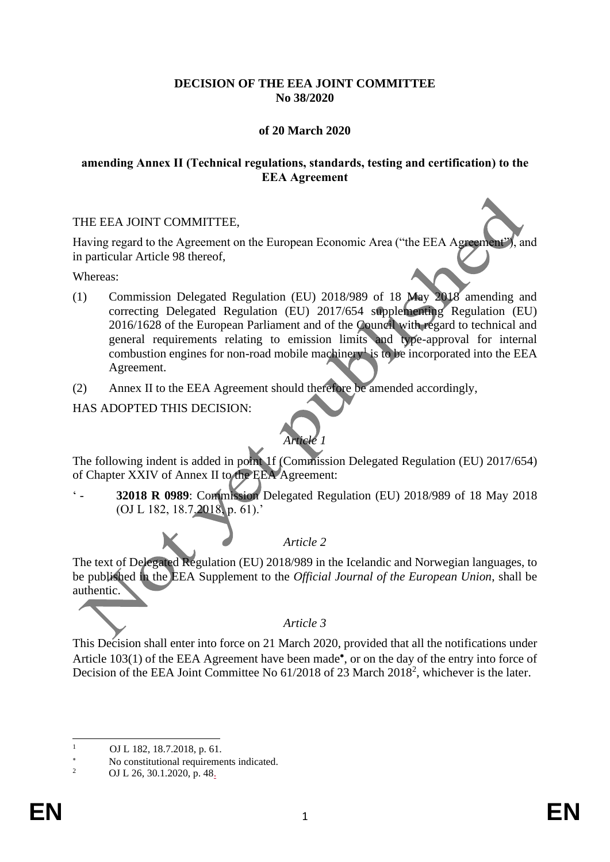# **DECISION OF THE EEA JOINT COMMITTEE No 38/2020**

# **of 20 March 2020**

### **amending Annex II (Technical regulations, standards, testing and certification) to the EEA Agreement**

### THE EEA JOINT COMMITTEE,

Having regard to the Agreement on the European Economic Area ("the EEA Agreement"), and in particular Article 98 thereof,

Whereas:

- (1) Commission Delegated Regulation (EU) 2018/989 of 18 May 2018 amending and correcting Delegated Regulation (EU) 2017/654 supplementing Regulation (EU) 2016/1628 of the European Parliament and of the Council with regard to technical and general requirements relating to emission limits and type-approval for internal combustion engines for non-road mobile machinery is to be incorporated into the EEA Agreement.
- (2) Annex II to the EEA Agreement should therefore be amended accordingly,

HAS ADOPTED THIS DECISION:



The following indent is added in point 1f (Commission Delegated Regulation (EU) 2017/654) of Chapter XXIV of Annex II to the EEA Agreement:

' - **32018 R 0989**: Commission Delegated Regulation (EU) 2018/989 of 18 May 2018 (OJ L 182, 18.7.2018, p. 61).'

*Article 2*

The text of Delegated Regulation (EU) 2018/989 in the Icelandic and Norwegian languages, to be published in the EEA Supplement to the *Official Journal of the European Union*, shall be authentic.

#### *Article 3*

This Decision shall enter into force on 21 March 2020, provided that all the notifications under Article 103(1) of the EEA Agreement have been made\*, or on the day of the entry into force of Decision of the EEA Joint Committee No 61/2018 of 23 March 2018<sup>2</sup>, whichever is the later.

<sup>&</sup>lt;sup>1</sup> OJ L 182, 18.7.2018, p. 61.

<sup>\*</sup> No constitutional requirements indicated.<br> $\frac{2}{\sqrt{N}} = \frac{N}{N} \frac{26.30 \times 1.2020 \text{ m/s}}{48}$ 

OJ L 26, 30.1.2020, p. 48.